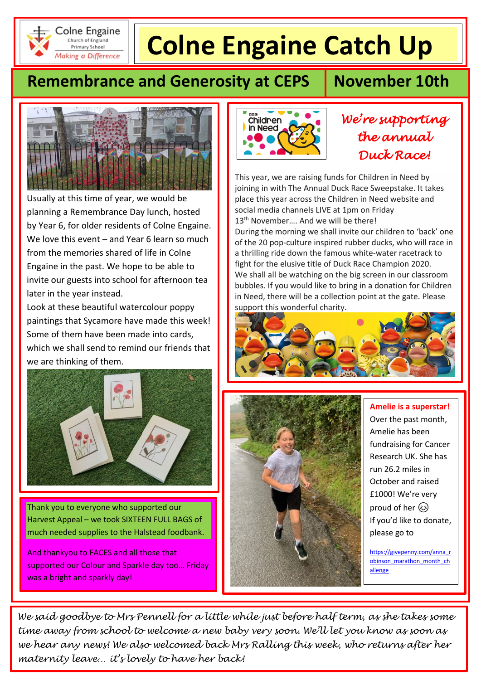

# **Colne Engaine Catch Up**

# **Remembrance and Generosity at CEPS | November 10th**



Usually at this time of year, we would be planning a Remembrance Day lunch, hosted by Year 6, for older residents of Colne Engaine. We love this event – and Year 6 learn so much from the memories shared of life in Colne Engaine in the past. We hope to be able to invite our guests into school for afternoon tea later in the year instead.

Look at these beautiful watercolour poppy paintings that Sycamore have made this week! Some of them have been made into cards, which we shall send to remind our friends that we are thinking of them.



Thank you to everyone who supported our Harvest Appeal – we took SIXTEEN FULL BAGS of much needed supplies to the Halstead foodbank.

And thankyou to FACES and all those that supported our Colour and Sparkle day too… Friday was a bright and sparkly day!



## *We're supporting the annual Duck Race!*

This year, we are raising funds for Children in Need by  joining in with The Annual Duck Race Sweepstake. It takes place this year across the Children in Need website and social media channels LIVE at 1pm on Friday 13<sup>th</sup> November.... And we will be there!

During the morning we shall invite our children to 'back' one of the 20 pop-culture inspired rubber ducks, who will race in a thrilling ride down the famous white-water racetrack to fight for the elusive title of Duck Race Champion 2020. We shall all be watching on the big screen in our classroom bubbles. If you would like to bring in a donation for Children in Need, there will be a collection point at the gate. Please support this wonderful charity.





**Amelie is a superstar!** Over the past month, Amelie has been fundraising for Cancer Research UK. She has run 26.2 miles in October and raised £1000! We're very proud of her  $\circledS$ If you'd like to donate, please go to

[https://givepenny.com/anna\\_r](https://givepenny.com/anna_robinson_marathon_month_challenge) [obinson\\_marathon\\_month\\_ch](https://givepenny.com/anna_robinson_marathon_month_challenge) [allenge](https://givepenny.com/anna_robinson_marathon_month_challenge)

*We said goodbye to Mrs Pennell for a little while just before half term, as she takes some time away from school to welcome a new baby very soon. We'll let you know as soon as we hear any news! We also welcomed back Mrs Ralling this week, who returns after her maternity leave… it's lovely to have her back!*